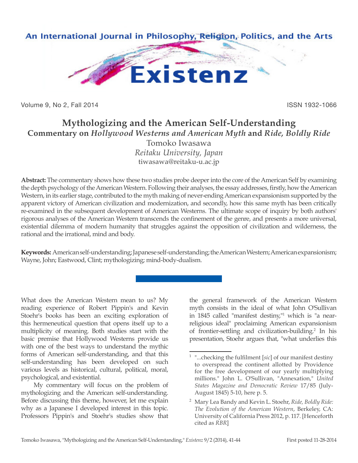

Volume 9, No 2, Fall 2014 **ISSN 1932-1066** 

## **Mythologizing and the American Self-Understanding Commentary on** *Hollywood Westerns and American Myth* **and** *Ride, Boldly Ride* Tomoko Iwasawa

*Reitaku University, Japan* tiwasawa@reitaku-u.ac.jp

**Abstract:** The commentary shows how these two studies probe deeper into the core of the American Self by examining the depth psychology of the American Western. Following their analyses, the essay addresses, firstly, how the American Western, in its earlier stage, contributed to the myth making of never-ending American expansionism supported by the apparent victory of American civilization and modernization, and secondly, how this same myth has been critically re-examined in the subsequent development of American Westerns. The ultimate scope of inquiry by both authors' rigorous analyses of the American Western transcends the confinement of the genre, and presents a more universal, existential dilemma of modern humanity that struggles against the opposition of civilization and wilderness, the rational and the irrational, mind and body.

**Keywords:** American self-understanding; Japanese self-understanding; the American Western; American expansionism; Wayne, John; Eastwood, Clint; mythologizing; mind-body-dualism.

What does the American Western mean to us? My reading experience of Robert Pippin's and Kevin Stoehr's books has been an exciting exploration of this hermeneutical question that opens itself up to a multiplicity of meaning. Both studies start with the basic premise that Hollywood Westerns provide us with one of the best ways to understand the mythic forms of American self-understanding, and that this self-understanding has been developed on such various levels as historical, cultural, political, moral, psychological, and existential.

My commentary will focus on the problem of mythologizing and the American self-understanding. Before discussing this theme, however, let me explain why as a Japanese I developed interest in this topic. Professors Pippin's and Stoehr's studies show that

the general framework of the American Western myth consists in the ideal of what John O'Sullivan in 1845 called "manifest destiny,"1 which is "a nearreligious ideal" proclaiming American expansionism of frontier-settling and civilization-building.<sup>2</sup> In his presentation, Stoehr argues that, "what underlies this

<sup>&</sup>quot;...checking the fulfilment [sic] of our manifest destiny to overspread the continent allotted by Providence for the free development of our yearly multiplying millions." John L. O'Sullivan, "Annexation," *United States Magazine and Democratic Review* 17/85 (July-August 1845) 5-10, here p. 5.

<sup>2</sup> Mary Lea Bandy and Kevin L. Stoehr, *Ride, Boldly Ride: The Evolution of the American Western*, Berkeley, CA: University of California Press 2012, p. 117. [Henceforth cited as *RBR*]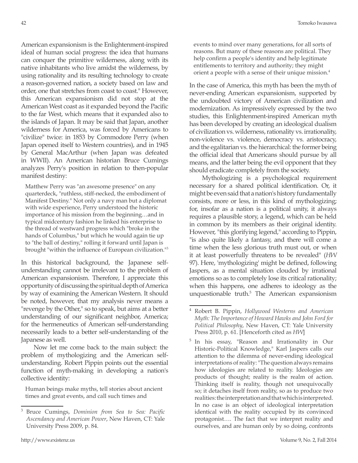American expansionism is the Enlightenment-inspired ideal of human social progress: the idea that humans can conquer the primitive wilderness, along with its native inhabitants who live amidst the wilderness, by using rationality and its resulting technology to create a reason-governed nation, a society based on law and order, one that stretches from coast to coast." However, this American expansionism did not stop at the American West coast as it expanded beyond the Pacific to the far West, which means that it expanded also to the islands of Japan. It may be said that Japan, another wilderness for America, was forced by Americans to "civilize" twice: in 1853 by Commodore Perry (when Japan opened itself to Western countries), and in 1945 by General MacArthur (when Japan was defeated in WWII). An American historian Bruce Cumings analyzes Perry's position in relation to then-popular manifest destiny:

Matthew Perry was "an awesome presence" on any quarterdeck, "ruthless, stiff-necked, the embodiment of Manifest Destiny." Not only a navy man but a diplomat with wide experience, Perry understood the historic importance of his mission from the beginning…and in typical midcentury fashion he linked his enterprise to the thread of westward progress which "broke in the hands of Columbus," but which he would again tie up to "the ball of destiny," rolling it forward until Japan is brought "within the influence of European civilization."<sup>3</sup>

In this historical background, the Japanese selfunderstanding cannot be irrelevant to the problem of American expansionism. Therefore, I appreciate this opportunity of discussing the spiritual depth of America by way of examining the American Western. It should be noted, however, that my analysis never means a "revenge by the Other," so to speak, but aims at a better understanding of our significant neighbor, America; for the hermeneutics of American self-understanding necessarily leads to a better self-understanding of the Japanese as well.

Now let me come back to the main subject: the problem of mythologizing and the American selfunderstanding. Robert Pippin points out the essential function of myth-making in developing a nation's collective identity:

Human beings make myths, tell stories about ancient times and great events, and call such times and

In the case of America, this myth has been the myth of never-ending American expansionism, supported by the undoubted victory of American civilization and modernization. As impressively expressed by the two studies, this Enlightenment-inspired American myth has been developed by creating an ideological dualism of civilization vs. wilderness, rationality vs. irrationality, non-violence vs. violence, democracy vs. aristocracy, and the egalitarian vs. the hierarchical: the former being the official ideal that Americans should pursue by all means, and the latter being the evil opponent that they should eradicate completely from the society.

Mythologizing is a psychological requirement necessary for a shared political identification. Or, it might be even said that a nation's history fundamentally consists, more or less, in this kind of mythologizing; for, insofar as a nation is a political unity, it always requires a plausible story, a legend, which can be held in common by its members as their original identity. However, "this glorifying legend," according to Pippin, "is also quite likely a fantasy, and there will come a time when the less glorious truth must out, or when it at least powerfully threatens to be revealed" (*HW* 97). Here, 'mythologizing' might be defined, following Jaspers, as a mental situation clouded by irrational emotions so as to completely lose its critical rationality; when this happens, one adheres to ideology as the unquestionable truth.<sup>5</sup> The American expansionism

<sup>3</sup> Bruce Cumings, *Dominion from Sea to Sea: Pacific Ascendancy and American Power*, New Haven, CT: Yale University Press 2009, p. 84.

<sup>4</sup> Robert B. Pippin, *Hollywood Westerns and American Myth: The Importance of Howard Hawks and John Ford for Political Philosophy*, New Haven, CT: Yale University Press 2010, p. 61. [Henceforth cited as *HW*]

<sup>5</sup> In his essay, "Reason and Irrationality in Our Historic-Political Knowledge," Karl Jaspers calls our attention to the dilemma of never-ending ideological interpretations of reality: "The question always remains how ideologies are related to reality. Ideologies are products of thought; reality is the realm of action. Thinking itself is reality, though not unequivocally so; it detaches itself from reality, so as to produce two realities: the interpretation and that which is interpreted. In no case is an object of ideological interpretation identical with the reality occupied by its convinced protagonist…. The fact that we interpret reality and ourselves, and are human only by so doing, confronts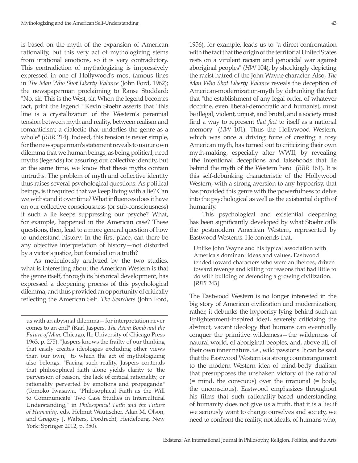is based on the myth of the expansion of American rationality, but this very act of mythologizing stems from irrational emotions, so it is very contradictory. This contradiction of mythologizing is impressively expressed in one of Hollywood's most famous lines in *The Man Who Shot Liberty Valance* (John Ford, 1962); the newspaperman proclaiming to Ranse Stoddard: "No, sir. This is the West, sir. When the legend becomes fact, print the legend." Kevin Stoehr asserts that "this line is a crystallization of the Western's perennial tension between myth and reality, between realism and romanticism; a dialectic that underlies the genre as a whole" (*RBR* 214). Indeed, this tension is never simple, for the newspaperman's statement reveals to us our own dilemma that we human beings, as being political, need myths (legends) for assuring our collective identity, but at the same time, we know that these myths contain untruths. The problem of myth and collective identity thus raises several psychological questions: As political beings, is it required that we keep living with a lie? Can we withstand it over time? What influences does it have on our collective consciousness (or sub-consciousness) if such a lie keeps suppressing our psyche? What, for example, happened in the American case? These questions, then, lead to a more general question of how to understand history: In the first place, can there be any objective interpretation of history—not distorted by a victor's justice, but founded on a truth?

As meticulously analyzed by the two studies, what is interesting about the American Western is that the genre itself, through its historical development, has expressed a deepening process of this psychological dilemma, and thus provided an opportunity of critically reflecting the American Self. *The Searchers* (John Ford,

us with an abysmal dilemma—for interpretation never comes to an end" (Karl Jaspers, *The Atom Bomb and the Future of Man*, Chicago, IL: University of Chicago Press 1963, p. 275). "Jaspers knows the frailty of our thinking that easily creates ideologies excluding other views than our own," to which the act of mythologizing also belongs. "Facing such reality, Jaspers contends that philosophical faith alone yields clarity to 'the perversion of reason,' the lack of critical rationality, or rationality perverted by emotions and propaganda" (Tomoko Iwasawa, "Philosophical Faith as the Will to Communicate: Two Case Studies in Intercultural Understanding," in *Philosophical Faith and the Future of Humanity*, eds. Helmut Wautischer, Alan M. Olson, and Gregory J. Walters, Dordrecht, Heidelberg, New York: Springer 2012, p. 350).

1956), for example, leads us to "a direct confrontation with the fact that the origin of the territorial United States rests on a virulent racism and genocidal war against aboriginal peoples" (*HW* 104), by shockingly depicting the racist hatred of the John Wayne character. Also, *The Man Who Shot Liberty Valance* reveals the deception of American-modernization-myth by debunking the fact that "the establishment of any legal order, of whatever doctrine, even liberal-democratic and humanist, must be illegal, violent, unjust, and brutal, and a society must find a way to represent *that fact* to itself as a national memory" (*HW* 101). Thus the Hollywood Western, which was once a driving force of creating a rosy American myth, has turned out to criticizing their own myth-making, especially after WWII, by revealing "the intentional deceptions and falsehoods that lie behind the myth of the Western hero" (*RBR* 161). It is this self-debunking characteristic of the Hollywood Western, with a strong aversion to any hypocrisy, that has provided this genre with the powerfulness to delve into the psychological as well as the existential depth of humanity.

This psychological and existential deepening has been significantly developed by what Stoehr calls the postmodern American Western, represented by Eastwood Westerns. He contends that,

Unlike John Wayne and his typical association with America's dominant ideas and values, Eastwood tended toward characters who were antiheroes, driven toward revenge and killing for reasons that had little to do with building or defending a growing civilization. [*RBR* 243]

The Eastwood Western is no longer interested in the big story of American civilization and modernization; rather, it debunks the hypocrisy lying behind such an Enlightenment-inspired ideal, severely criticizing the abstract, vacant ideology that humans can eventually conquer the primitive wilderness—the wilderness of natural world, of aboriginal peoples, and, above all, of their own inner nature, i.e., wild passions. It can be said that the Eastwood Western is a strong counterargument to the modern Western idea of mind-body dualism that presupposes the unshaken victory of the rational  $(= \text{mind}, \text{ the conscious})$  over the irrational  $(= \text{body}, \text{$ the unconscious). Eastwood emphasizes throughout his films that such rationality-based understanding of humanity does not give us a truth, that it is a lie; if we seriously want to change ourselves and society, we need to confront the reality, not ideals, of humans who,